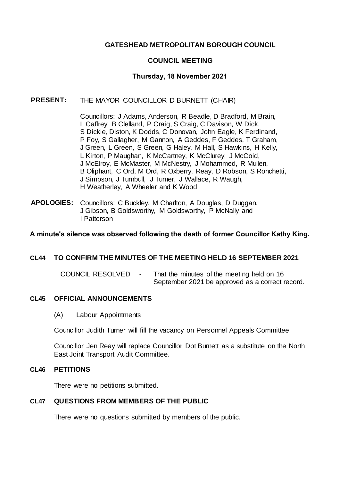## **GATESHEAD METROPOLITAN BOROUGH COUNCIL**

## **COUNCIL MEETING**

## **Thursday, 18 November 2021**

#### **PRESENT:** THE MAYOR COUNCILLOR D BURNETT (CHAIR)

Councillors: J Adams, Anderson, R Beadle, D Bradford, M Brain, L Caffrey, B Clelland, P Craig, S Craig, C Davison, W Dick, S Dickie, Diston, K Dodds, C Donovan, John Eagle, K Ferdinand, P Foy, S Gallagher, M Gannon, A Geddes, F Geddes, T Graham, J Green, L Green, S Green, G Haley, M Hall, S Hawkins, H Kelly, L Kirton, P Maughan, K McCartney, K McClurey, J McCoid, J McElroy, E McMaster, M McNestry, J Mohammed, R Mullen, B Oliphant, C Ord, M Ord, R Oxberry, Reay, D Robson, S Ronchetti, J Simpson, J Turnbull, J Turner, J Wallace, R Waugh, H Weatherley, A Wheeler and K Wood

**APOLOGIES:** Councillors: C Buckley, M Charlton, A Douglas, D Duggan, J Gibson, B Goldsworthy, M Goldsworthy, P McNally and I Patterson

#### **A minute's silence was observed following the death of former Councillor Kathy King.**

## **CL44 TO CONFIRM THE MINUTES OF THE MEETING HELD 16 SEPTEMBER 2021**

COUNCIL RESOLVED - That the minutes of the meeting held on 16 September 2021 be approved as a correct record.

#### **CL45 OFFICIAL ANNOUNCEMENTS**

(A) Labour Appointments

Councillor Judith Turner will fill the vacancy on Personnel Appeals Committee.

Councillor Jen Reay will replace Councillor Dot Burnett as a substitute on the North East Joint Transport Audit Committee.

#### **CL46 PETITIONS**

There were no petitions submitted.

#### **CL47 QUESTIONS FROM MEMBERS OF THE PUBLIC**

There were no questions submitted by members of the public.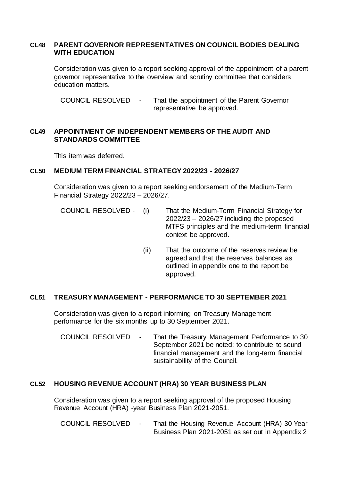#### **CL48 PARENT GOVERNOR REPRESENTATIVES ON COUNCIL BODIES DEALING WITH EDUCATION**

Consideration was given to a report seeking approval of the appointment of a parent governor representative to the overview and scrutiny committee that considers education matters.

COUNCIL RESOLVED - That the appointment of the Parent Governor representative be approved.

# **CL49 APPOINTMENT OF INDEPENDENT MEMBERS OF THE AUDIT AND STANDARDS COMMITTEE**

This item was deferred.

#### **CL50 MEDIUM TERM FINANCIAL STRATEGY 2022/23 - 2026/27**

Consideration was given to a report seeking endorsement of the Medium-Term Financial Strategy 2022/23 – 2026/27.

COUNCIL RESOLVED - (i) That the Medium-Term Financial Strategy for 2022/23 – 2026/27 including the proposed MTFS principles and the medium-term financial context be approved.

> (ii) That the outcome of the reserves review be agreed and that the reserves balances as outlined in appendix one to the report be approved.

## **CL51 TREASURY MANAGEMENT - PERFORMANCE TO 30 SEPTEMBER 2021**

Consideration was given to a report informing on Treasury Management performance for the six months up to 30 September 2021.

COUNCIL RESOLVED - That the Treasury Management Performance to 30 September 2021 be noted; to contribute to sound financial management and the long-term financial sustainability of the Council.

## **CL52 HOUSING REVENUE ACCOUNT (HRA) 30 YEAR BUSINESS PLAN**

Consideration was given to a report seeking approval of the proposed Housing Revenue Account (HRA) -year Business Plan 2021-2051.

COUNCIL RESOLVED - That the Housing Revenue Account (HRA) 30 Year Business Plan 2021-2051 as set out in Appendix 2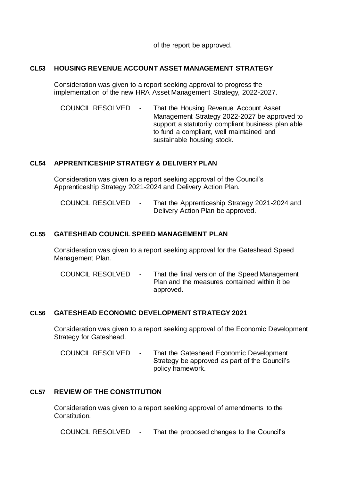of the report be approved.

## **CL53 HOUSING REVENUE ACCOUNT ASSET MANAGEMENT STRATEGY**

Consideration was given to a report seeking approval to progress the implementation of the new HRA Asset Management Strategy, 2022-2027.

COUNCIL RESOLVED - That the Housing Revenue Account Asset Management Strategy 2022-2027 be approved to support a statutorily compliant business plan able to fund a compliant, well maintained and sustainable housing stock.

## **CL54 APPRENTICESHIP STRATEGY & DELIVERYPLAN**

Consideration was given to a report seeking approval of the Council's Apprenticeship Strategy 2021-2024 and Delivery Action Plan.

COUNCIL RESOLVED - That the Apprenticeship Strategy 2021-2024 and Delivery Action Plan be approved.

## **CL55 GATESHEAD COUNCIL SPEED MANAGEMENT PLAN**

Consideration was given to a report seeking approval for the Gateshead Speed Management Plan.

COUNCIL RESOLVED - That the final version of the Speed Management Plan and the measures contained within it be approved.

## **CL56 GATESHEAD ECONOMIC DEVELOPMENT STRATEGY 2021**

Consideration was given to a report seeking approval of the Economic Development Strategy for Gateshead.

COUNCIL RESOLVED - That the Gateshead Economic Development Strategy be approved as part of the Council's policy framework.

# **CL57 REVIEW OF THE CONSTITUTION**

Consideration was given to a report seeking approval of amendments to the Constitution.

COUNCIL RESOLVED - That the proposed changes to the Council's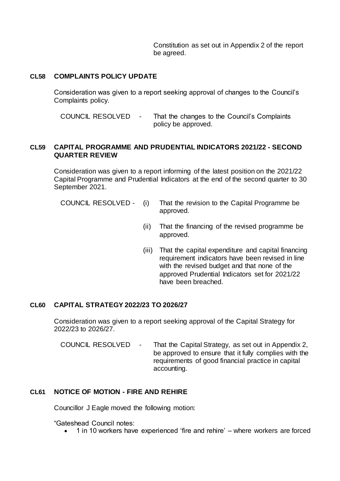Constitution as set out in Appendix 2 of the report be agreed.

## **CL58 COMPLAINTS POLICY UPDATE**

Consideration was given to a report seeking approval of changes to the Council's Complaints policy.

COUNCIL RESOLVED - That the changes to the Council's Complaints policy be approved.

#### **CL59 CAPITAL PROGRAMME AND PRUDENTIAL INDICATORS 2021/22 - SECOND QUARTER REVIEW**

Consideration was given to a report informing of the latest position on the 2021/22 Capital Programme and Prudential Indicators at the end of the second quarter to 30 September 2021.

COUNCIL RESOLVED - (i) That the revision to the Capital Programme be approved.

- (ii) That the financing of the revised programme be approved.
- (iii) That the capital expenditure and capital financing requirement indicators have been revised in line with the revised budget and that none of the approved Prudential Indicators set for 2021/22 have been breached.

#### **CL60 CAPITAL STRATEGY 2022/23 TO 2026/27**

Consideration was given to a report seeking approval of the Capital Strategy for 2022/23 to 2026/27.

COUNCIL RESOLVED - That the Capital Strategy, as set out in Appendix 2, be approved to ensure that it fully complies with the requirements of good financial practice in capital accounting.

# **CL61 NOTICE OF MOTION - FIRE AND REHIRE**

Councillor J Eagle moved the following motion:

"Gateshead Council notes:

1 in 10 workers have experienced 'fire and rehire' – where workers are forced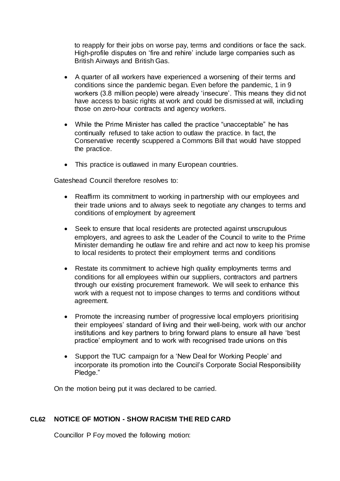to reapply for their jobs on worse pay, terms and conditions or face the sack. High-profile disputes on 'fire and rehire' include large companies such as British Airways and British Gas.

- A quarter of all workers have experienced a worsening of their terms and conditions since the pandemic began. Even before the pandemic, 1 in 9 workers (3.8 million people) were already 'insecure'. This means they did not have access to basic rights at work and could be dismissed at will, including those on zero-hour contracts and agency workers.
- While the Prime Minister has called the practice "unacceptable" he has continually refused to take action to outlaw the practice. In fact, the Conservative recently scuppered a Commons Bill that would have stopped the practice.
- This practice is outlawed in many European countries.

Gateshead Council therefore resolves to:

- Reaffirm its commitment to working in partnership with our employees and their trade unions and to always seek to negotiate any changes to terms and conditions of employment by agreement
- Seek to ensure that local residents are protected against unscrupulous employers, and agrees to ask the Leader of the Council to write to the Prime Minister demanding he outlaw fire and rehire and act now to keep his promise to local residents to protect their employment terms and conditions
- Restate its commitment to achieve high quality employments terms and conditions for all employees within our suppliers, contractors and partners through our existing procurement framework. We will seek to enhance this work with a request not to impose changes to terms and conditions without agreement.
- Promote the increasing number of progressive local employers prioritising their employees' standard of living and their well-being, work with our anchor institutions and key partners to bring forward plans to ensure all have 'best practice' employment and to work with recognised trade unions on this
- Support the TUC campaign for a 'New Deal for Working People' and incorporate its promotion into the Council's Corporate Social Responsibility Pledge."

On the motion being put it was declared to be carried.

## **CL62 NOTICE OF MOTION - SHOW RACISM THE RED CARD**

Councillor P Foy moved the following motion: